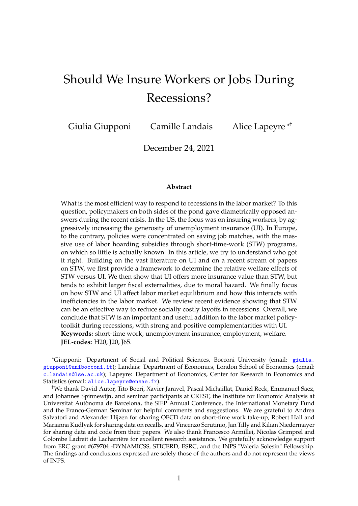# Should We Insure Workers or Jobs During Recessions?

Giulia Giupponi Camille Landais

Alice Lapeyre \*<sup>†</sup>

December 24, 2021

#### **Abstract**

What is the most efficient way to respond to recessions in the labor market? To this question, policymakers on both sides of the pond gave diametrically opposed answers during the recent crisis. In the US, the focus was on insuring workers, by aggressively increasing the generosity of unemployment insurance (UI). In Europe, to the contrary, policies were concentrated on saving job matches, with the massive use of labor hoarding subsidies through short-time-work (STW) programs, on which so little is actually known. In this article, we try to understand who got it right. Building on the vast literature on UI and on a recent stream of papers on STW, we first provide a framework to determine the relative welfare effects of STW versus UI. We then show that UI offers more insurance value than STW, but tends to exhibit larger fiscal externalities, due to moral hazard. We finally focus on how STW and UI affect labor market equilibrium and how this interacts with inefficiencies in the labor market. We review recent evidence showing that STW can be an effective way to reduce socially costly layoffs in recessions. Overall, we conclude that STW is an important and useful addition to the labor market policytoolkit during recessions, with strong and positive complementarities with UI. **Keywords:** short-time work, unemployment insurance, employment, welfare. **JEL-codes:** H20, J20, J65.

<sup>\*</sup>Giupponi: Department of Social and Political Sciences, Bocconi University (email: [giulia.](giulia.giupponi@unibocconi.it) [giupponi@unibocconi.it](giulia.giupponi@unibocconi.it)); Landais: Department of Economics, London School of Economics (email: <c.landais@lse.ac.uk>); Lapeyre: Department of Economics, Center for Research in Economics and Statistics (email: <alice.lapeyre@ensae.fr>).

<sup>†</sup>We thank David Autor, Tito Boeri, Xavier Jaravel, Pascal Michaillat, Daniel Reck, Emmanuel Saez, and Johannes Spinnewijn, and seminar participants at CREST, the Institute for Economic Analysis at Universitat Autònoma de Barcelona, the SIEP Annual Conference, the International Monetary Fund and the Franco-German Seminar for helpful comments and suggestions. We are grateful to Andrea Salvatori and Alexander Hijzen for sharing OECD data on short-time work take-up, Robert Hall and Marianna Kudlyak for sharing data on recalls, and Vincenzo Scrutinio, Jan Tilly and Kilian Niedermayer for sharing data and code from their papers. We also thank Francesco Armillei, Nicolas Grimprel and Colombe Ladreit de Lacharrière for excellent research assistance. We gratefully acknowledge support from ERC grant #679704 -DYNAMICSS, STICERD, ESRC, and the INPS "Valeria Solesin" Fellowship. The findings and conclusions expressed are solely those of the authors and do not represent the views of INPS.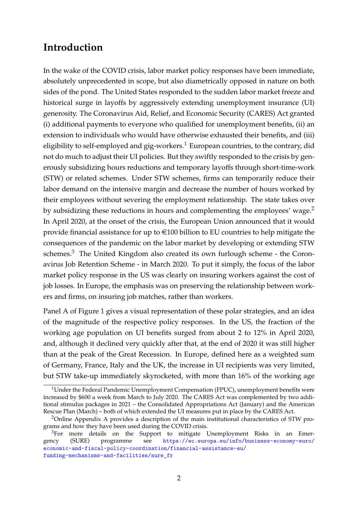## **Introduction**

In the wake of the COVID crisis, labor market policy responses have been immediate, absolutely unprecedented in scope, but also diametrically opposed in nature on both sides of the pond. The United States responded to the sudden labor market freeze and historical surge in layoffs by aggressively extending unemployment insurance (UI) generosity. The Coronavirus Aid, Relief, and Economic Security (CARES) Act granted (i) additional payments to everyone who qualified for unemployment benefits, (ii) an extension to individuals who would have otherwise exhausted their benefits, and (iii) eligibility to self-employed and gig-workers.<sup>[1](#page-1-0)</sup> European countries, to the contrary, did not do much to adjust their UI policies. But they swiftly responded to the crisis by generously subsidizing hours reductions and temporary layoffs through short-time-work (STW) or related schemes. Under STW schemes, firms can temporarily reduce their labor demand on the intensive margin and decrease the number of hours worked by their employees without severing the employment relationship. The state takes over by subsidizing these reductions in hours and complementing the employees' wage.<sup>[2](#page-1-1)</sup> In April 2020, at the onset of the crisis, the European Union announced that it would provide financial assistance for up to  $\in$ 100 billion to EU countries to help mitigate the consequences of the pandemic on the labor market by developing or extending STW schemes.<sup>[3](#page-1-2)</sup> The United Kingdom also created its own furlough scheme - the Coronavirus Job Retention Scheme - in March 2020. To put it simply, the focus of the labor market policy response in the US was clearly on insuring workers against the cost of job losses. In Europe, the emphasis was on preserving the relationship between workers and firms, on insuring job matches, rather than workers.

Panel A of Figure [1](#page-19-0) gives a visual representation of these polar strategies, and an idea of the magnitude of the respective policy responses. In the US, the fraction of the working age population on UI benefits surged from about 2 to 12% in April 2020, and, although it declined very quickly after that, at the end of 2020 it was still higher than at the peak of the Great Recession. In Europe, defined here as a weighted sum of Germany, France, Italy and the UK, the increase in UI recipients was very limited, but STW take-up immediately skyrocketed, with more than 16% of the working age

<span id="page-1-0"></span><sup>&</sup>lt;sup>1</sup>Under the Federal Pandemic Unemployment Compensation (FPUC), unemployment benefits were increased by \$600 a week from March to July 2020. The CARES Act was complemented by two additional stimulus packages in 2021 – the Consolidated Appropriations Act (January) and the American Rescue Plan (March) – both of which extended the UI measures put in place by the CARES Act.

<span id="page-1-1"></span><sup>&</sup>lt;sup>2</sup>Online Appendix A provides a description of the main institutional characteristics of STW programs and how they have been used during the COVID crisis.

<span id="page-1-2"></span><sup>&</sup>lt;sup>3</sup>For more details on the Support to mitigate Unemployment Risks in an Emergency (SURE) programme see [https://ec.europa.eu/info/business-economy-euro/](https://ec.europa.eu/info/business-economy-euro/economic-and-fiscal-policy-coordination/financial-assistance-eu/funding-mechanisms-and-facilities/sure_fr) [economic-and-fiscal-policy-coordination/financial-assistance-eu/](https://ec.europa.eu/info/business-economy-euro/economic-and-fiscal-policy-coordination/financial-assistance-eu/funding-mechanisms-and-facilities/sure_fr) [funding-mechanisms-and-facilities/sure\\_fr](https://ec.europa.eu/info/business-economy-euro/economic-and-fiscal-policy-coordination/financial-assistance-eu/funding-mechanisms-and-facilities/sure_fr)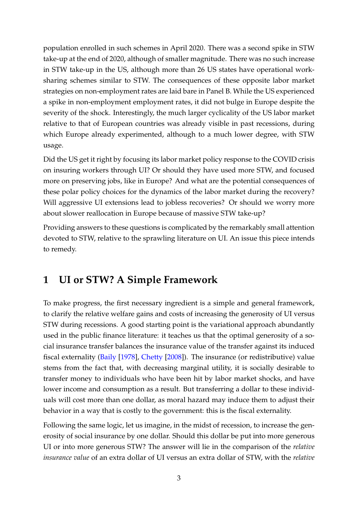population enrolled in such schemes in April 2020. There was a second spike in STW take-up at the end of 2020, although of smaller magnitude. There was no such increase in STW take-up in the US, although more than 26 US states have operational worksharing schemes similar to STW. The consequences of these opposite labor market strategies on non-employment rates are laid bare in Panel B. While the US experienced a spike in non-employment employment rates, it did not bulge in Europe despite the severity of the shock. Interestingly, the much larger cyclicality of the US labor market relative to that of European countries was already visible in past recessions, during which Europe already experimented, although to a much lower degree, with STW usage.

Did the US get it right by focusing its labor market policy response to the COVID crisis on insuring workers through UI? Or should they have used more STW, and focused more on preserving jobs, like in Europe? And what are the potential consequences of these polar policy choices for the dynamics of the labor market during the recovery? Will aggressive UI extensions lead to jobless recoveries? Or should we worry more about slower reallocation in Europe because of massive STW take-up?

Providing answers to these questions is complicated by the remarkably small attention devoted to STW, relative to the sprawling literature on UI. An issue this piece intends to remedy.

## <span id="page-2-0"></span>**1 UI or STW? A Simple Framework**

To make progress, the first necessary ingredient is a simple and general framework, to clarify the relative welfare gains and costs of increasing the generosity of UI versus STW during recessions. A good starting point is the variational approach abundantly used in the public finance literature: it teaches us that the optimal generosity of a social insurance transfer balances the insurance value of the transfer against its induced fiscal externality [\(Baily](#page-16-0) [\[1978\]](#page-16-0), [Chetty](#page-16-1) [\[2008\]](#page-16-1)). The insurance (or redistributive) value stems from the fact that, with decreasing marginal utility, it is socially desirable to transfer money to individuals who have been hit by labor market shocks, and have lower income and consumption as a result. But transferring a dollar to these individuals will cost more than one dollar, as moral hazard may induce them to adjust their behavior in a way that is costly to the government: this is the fiscal externality.

Following the same logic, let us imagine, in the midst of recession, to increase the generosity of social insurance by one dollar. Should this dollar be put into more generous UI or into more generous STW? The answer will lie in the comparison of the *relative insurance value* of an extra dollar of UI versus an extra dollar of STW, with the *relative*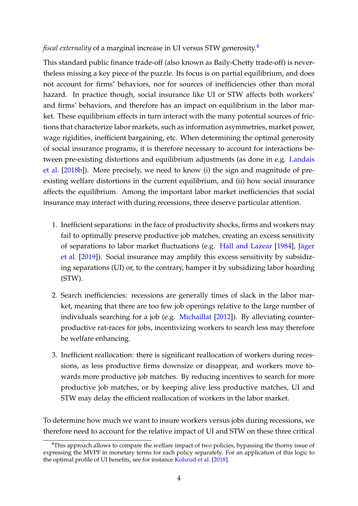#### *fiscal externality* of a marginal increase in UI versus STW generosity.<sup>[4](#page-3-0)</sup>

This standard public finance trade-off (also known as Baily-Chetty trade-off) is nevertheless missing a key piece of the puzzle. Its focus is on partial equilibrium, and does not account for firms' behaviors, nor for sources of inefficiencies other than moral hazard. In practice though, social insurance like UI or STW affects both workers' and firms' behaviors, and therefore has an impact on equilibrium in the labor market. These equilibrium effects in turn interact with the many potential sources of frictions that characterize labor markets, such as information asymmetries, market power, wage rigidities, inefficient bargaining, etc. When determining the optimal generosity of social insurance programs, it is therefore necessary to account for interactions between pre-existing distortions and equilibrium adjustments (as done in e.g. [Landais](#page-17-0) [et al.](#page-17-0) [\[2018b\]](#page-17-0)). More precisely, we need to know (i) the sign and magnitude of preexisting welfare distortions in the current equilibrium, and (ii) how social insurance affects the equilibrium. Among the important labor market inefficiencies that social insurance may interact with during recessions, three deserve particular attention.

- 1. Inefficient separations: in the face of productivity shocks, firms and workers may fail to optimally preserve productive job matches, creating an excess sensitivity of separations to labor market fluctuations (e.g. [Hall and Lazear](#page-16-2) [\[1984\]](#page-16-2), [Jäger](#page-17-1) [et al.](#page-17-1) [\[2019\]](#page-17-1)). Social insurance may amplify this excess sensitivity by subsidizing separations (UI) or, to the contrary, hamper it by subsidizing labor hoarding (STW).
- 2. Search inefficiencies: recessions are generally times of slack in the labor market, meaning that there are too few job openings relative to the large number of individuals searching for a job (e.g. [Michaillat](#page-18-0) [\[2012\]](#page-18-0)). By alleviating counterproductive rat-races for jobs, incentivizing workers to search less may therefore be welfare enhancing.
- 3. Inefficient reallocation: there is significant reallocation of workers during recessions, as less productive firms downsize or disappear, and workers move towards more productive job matches. By reducing incentives to search for more productive job matches, or by keeping alive less productive matches, UI and STW may delay the efficient reallocation of workers in the labor market.

To determine how much we want to insure workers versus jobs during recessions, we therefore need to account for the relative impact of UI and STW on these three critical

<span id="page-3-0"></span><sup>&</sup>lt;sup>4</sup>This approach allows to compare the welfare impact of two policies, bypassing the thorny issue of expressing the MVPF in monetary terms for each policy separately. For an application of this logic to the optimal profile of UI benefits, see for instance [Kolsrud et al.](#page-17-2) [\[2018\]](#page-17-2).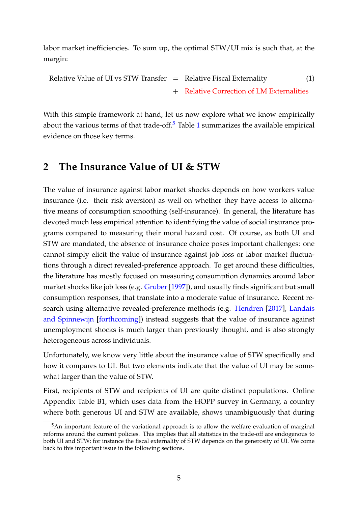labor market inefficiencies. To sum up, the optimal STW/UI mix is such that, at the margin:

```
Relative Value of UI vs STW Transfer = Relative Fiscal Externality (1)+ Relative Correction of LM Externalities
```
With this simple framework at hand, let us now explore what we know empirically about the various terms of that trade-off. $5$  Table [1](#page-24-0) summarizes the available empirical evidence on those key terms.

### **2 The Insurance Value of UI & STW**

The value of insurance against labor market shocks depends on how workers value insurance (i.e. their risk aversion) as well on whether they have access to alternative means of consumption smoothing (self-insurance). In general, the literature has devoted much less empirical attention to identifying the value of social insurance programs compared to measuring their moral hazard cost. Of course, as both UI and STW are mandated, the absence of insurance choice poses important challenges: one cannot simply elicit the value of insurance against job loss or labor market fluctuations through a direct revealed-preference approach. To get around these difficulties, the literature has mostly focused on measuring consumption dynamics around labor market shocks like job loss (e.g. [Gruber](#page-16-3) [\[1997\]](#page-16-3)), and usually finds significant but small consumption responses, that translate into a moderate value of insurance. Recent research using alternative revealed-preference methods (e.g. [Hendren](#page-17-3) [\[2017\]](#page-17-3), [Landais](#page-17-4) [and Spinnewijn](#page-17-4) [\[forthcoming\]](#page-17-4)) instead suggests that the value of insurance against unemployment shocks is much larger than previously thought, and is also strongly heterogeneous across individuals.

Unfortunately, we know very little about the insurance value of STW specifically and how it compares to UI. But two elements indicate that the value of UI may be somewhat larger than the value of STW.

First, recipients of STW and recipients of UI are quite distinct populations. Online Appendix Table B1, which uses data from the HOPP survey in Germany, a country where both generous UI and STW are available, shows unambiguously that during

<span id="page-4-0"></span><sup>&</sup>lt;sup>5</sup>An important feature of the variational approach is to allow the welfare evaluation of marginal reforms around the current policies. This implies that all statistics in the trade-off are endogenous to both UI and STW: for instance the fiscal externality of STW depends on the generosity of UI. We come back to this important issue in the following sections.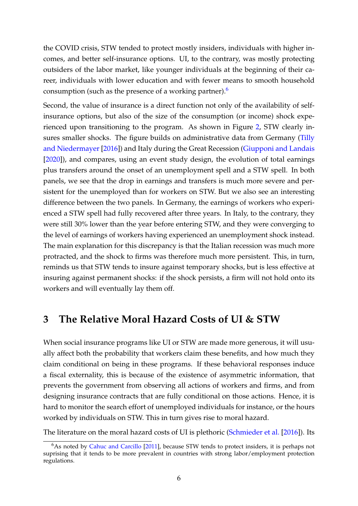the COVID crisis, STW tended to protect mostly insiders, individuals with higher incomes, and better self-insurance options. UI, to the contrary, was mostly protecting outsiders of the labor market, like younger individuals at the beginning of their career, individuals with lower education and with fewer means to smooth household consumption (such as the presence of a working partner).[6](#page-5-0)

Second, the value of insurance is a direct function not only of the availability of selfinsurance options, but also of the size of the consumption (or income) shock experienced upon transitioning to the program. As shown in Figure [2,](#page-20-0) STW clearly insures smaller shocks. The figure builds on administrative data from Germany [\(Tilly](#page-18-1) [and Niedermayer](#page-18-1) [\[2016\]](#page-18-1)) and Italy during the Great Recession [\(Giupponi and Landais](#page-16-4) [\[2020\]](#page-16-4)), and compares, using an event study design, the evolution of total earnings plus transfers around the onset of an unemployment spell and a STW spell. In both panels, we see that the drop in earnings and transfers is much more severe and persistent for the unemployed than for workers on STW. But we also see an interesting difference between the two panels. In Germany, the earnings of workers who experienced a STW spell had fully recovered after three years. In Italy, to the contrary, they were still 30% lower than the year before entering STW, and they were converging to the level of earnings of workers having experienced an unemployment shock instead. The main explanation for this discrepancy is that the Italian recession was much more protracted, and the shock to firms was therefore much more persistent. This, in turn, reminds us that STW tends to insure against temporary shocks, but is less effective at insuring against permanent shocks: if the shock persists, a firm will not hold onto its workers and will eventually lay them off.

### **3 The Relative Moral Hazard Costs of UI & STW**

When social insurance programs like UI or STW are made more generous, it will usually affect both the probability that workers claim these benefits, and how much they claim conditional on being in these programs. If these behavioral responses induce a fiscal externality, this is because of the existence of asymmetric information, that prevents the government from observing all actions of workers and firms, and from designing insurance contracts that are fully conditional on those actions. Hence, it is hard to monitor the search effort of unemployed individuals for instance, or the hours worked by individuals on STW. This in turn gives rise to moral hazard.

The literature on the moral hazard costs of UI is plethoric [\(Schmieder et al.](#page-18-2) [\[2016\]](#page-18-2)). Its

<span id="page-5-0"></span><sup>&</sup>lt;sup>6</sup>As noted by [Cahuc and Carcillo](#page-16-5) [\[2011\]](#page-16-5), because STW tends to protect insiders, it is perhaps not suprising that it tends to be more prevalent in countries with strong labor/employment protection regulations.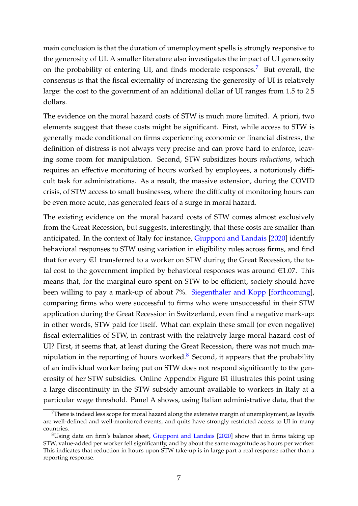main conclusion is that the duration of unemployment spells is strongly responsive to the generosity of UI. A smaller literature also investigates the impact of UI generosity on the probability of entering UI, and finds moderate responses.<sup>[7](#page-6-0)</sup> But overall, the consensus is that the fiscal externality of increasing the generosity of UI is relatively large: the cost to the government of an additional dollar of UI ranges from 1.5 to 2.5 dollars.

The evidence on the moral hazard costs of STW is much more limited. A priori, two elements suggest that these costs might be significant. First, while access to STW is generally made conditional on firms experiencing economic or financial distress, the definition of distress is not always very precise and can prove hard to enforce, leaving some room for manipulation. Second, STW subsidizes hours *reductions*, which requires an effective monitoring of hours worked by employees, a notoriously difficult task for administrations. As a result, the massive extension, during the COVID crisis, of STW access to small businesses, where the difficulty of monitoring hours can be even more acute, has generated fears of a surge in moral hazard.

The existing evidence on the moral hazard costs of STW comes almost exclusively from the Great Recession, but suggests, interestingly, that these costs are smaller than anticipated. In the context of Italy for instance, [Giupponi and Landais](#page-16-4) [\[2020\]](#page-16-4) identify behavioral responses to STW using variation in eligibility rules across firms, and find that for every  $\in$ 1 transferred to a worker on STW during the Great Recession, the total cost to the government implied by behavioral responses was around  $\in$ 1.07. This means that, for the marginal euro spent on STW to be efficient, society should have been willing to pay a mark-up of about 7%. [Siegenthaler and Kopp](#page-18-3) [\[forthcoming\]](#page-18-3), comparing firms who were successful to firms who were unsuccessful in their STW application during the Great Recession in Switzerland, even find a negative mark-up: in other words, STW paid for itself. What can explain these small (or even negative) fiscal externalities of STW, in contrast with the relatively large moral hazard cost of UI? First, it seems that, at least during the Great Recession, there was not much manipulation in the reporting of hours worked. $8$  Second, it appears that the probability of an individual worker being put on STW does not respond significantly to the generosity of her STW subsidies. Online Appendix Figure B1 illustrates this point using a large discontinuity in the STW subsidy amount available to workers in Italy at a particular wage threshold. Panel A shows, using Italian administrative data, that the

<span id="page-6-0"></span> $7$ There is indeed less scope for moral hazard along the extensive margin of unemployment, as layoffs are well-defined and well-monitored events, and quits have strongly restricted access to UI in many countries.

<span id="page-6-1"></span> ${}^{8}$ Using data on firm's balance sheet, [Giupponi and Landais](#page-16-4) [\[2020\]](#page-16-4) show that in firms taking up STW, value-added per worker fell significantly, and by about the same magnitude as hours per worker. This indicates that reduction in hours upon STW take-up is in large part a real response rather than a reporting response.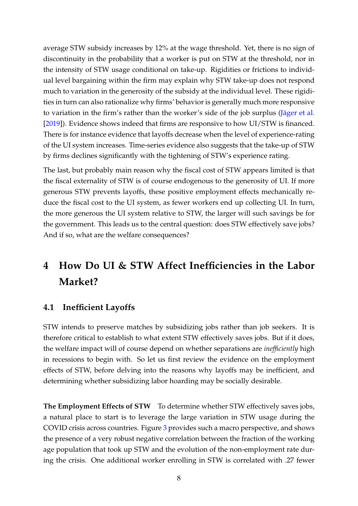average STW subsidy increases by 12% at the wage threshold. Yet, there is no sign of discontinuity in the probability that a worker is put on STW at the threshold, nor in the intensity of STW usage conditional on take-up. Rigidities or frictions to individual level bargaining within the firm may explain why STW take-up does not respond much to variation in the generosity of the subsidy at the individual level. These rigidities in turn can also rationalize why firms' behavior is generally much more responsive to variation in the firm's rather than the worker's side of the job surplus [\(Jäger et al.](#page-17-1) [\[2019\]](#page-17-1)). Evidence shows indeed that firms are responsive to how UI/STW is financed. There is for instance evidence that layoffs decrease when the level of experience-rating of the UI system increases. Time-series evidence also suggests that the take-up of STW by firms declines significantly with the tightening of STW's experience rating.

The last, but probably main reason why the fiscal cost of STW appears limited is that the fiscal externality of STW is of course endogenous to the generosity of UI. If more generous STW prevents layoffs, these positive employment effects mechanically reduce the fiscal cost to the UI system, as fewer workers end up collecting UI. In turn, the more generous the UI system relative to STW, the larger will such savings be for the government. This leads us to the central question: does STW effectively save jobs? And if so, what are the welfare consequences?

# **4 How Do UI & STW Affect Inefficiencies in the Labor Market?**

#### **4.1 Inefficient Layoffs**

STW intends to preserve matches by subsidizing jobs rather than job seekers. It is therefore critical to establish to what extent STW effectively saves jobs. But if it does, the welfare impact will of course depend on whether separations are *inefficiently* high in recessions to begin with. So let us first review the evidence on the employment effects of STW, before delving into the reasons why layoffs may be inefficient, and determining whether subsidizing labor hoarding may be socially desirable.

**The Employment Effects of STW** To determine whether STW effectively saves jobs, a natural place to start is to leverage the large variation in STW usage during the COVID crisis across countries. Figure [3](#page-21-0) provides such a macro perspective, and shows the presence of a very robust negative correlation between the fraction of the working age population that took up STW and the evolution of the non-employment rate during the crisis. One additional worker enrolling in STW is correlated with .27 fewer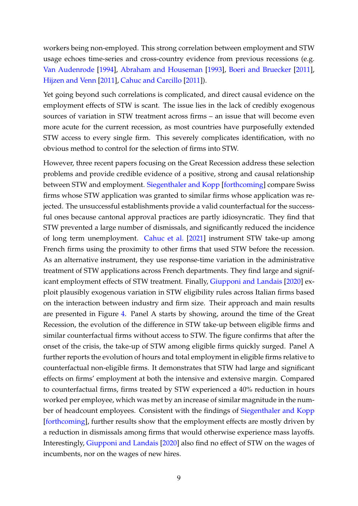workers being non-employed. This strong correlation between employment and STW usage echoes time-series and cross-country evidence from previous recessions (e.g. [Van Audenrode](#page-18-4) [\[1994\]](#page-18-4), [Abraham and Houseman](#page-16-6) [\[1993\]](#page-16-6), [Boeri and Bruecker](#page-16-7) [\[2011\]](#page-16-7), [Hijzen and Venn](#page-17-5) [\[2011\]](#page-17-5), [Cahuc and Carcillo](#page-16-5) [\[2011\]](#page-16-5)).

Yet going beyond such correlations is complicated, and direct causal evidence on the employment effects of STW is scant. The issue lies in the lack of credibly exogenous sources of variation in STW treatment across firms – an issue that will become even more acute for the current recession, as most countries have purposefully extended STW access to every single firm. This severely complicates identification, with no obvious method to control for the selection of firms into STW.

However, three recent papers focusing on the Great Recession address these selection problems and provide credible evidence of a positive, strong and causal relationship between STW and employment. [Siegenthaler and Kopp](#page-18-3) [\[forthcoming\]](#page-18-3) compare Swiss firms whose STW application was granted to similar firms whose application was rejected. The unsuccessful establishments provide a valid counterfactual for the successful ones because cantonal approval practices are partly idiosyncratic. They find that STW prevented a large number of dismissals, and significantly reduced the incidence of long term unemployment. [Cahuc et al.](#page-16-8) [\[2021\]](#page-16-8) instrument STW take-up among French firms using the proximity to other firms that used STW before the recession. As an alternative instrument, they use response-time variation in the administrative treatment of STW applications across French departments. They find large and significant employment effects of STW treatment. Finally, [Giupponi and Landais](#page-16-4) [\[2020\]](#page-16-4) exploit plausibly exogenous variation in STW eligibility rules across Italian firms based on the interaction between industry and firm size. Their approach and main results are presented in Figure [4.](#page-22-0) Panel A starts by showing, around the time of the Great Recession, the evolution of the difference in STW take-up between eligible firms and similar counterfactual firms without access to STW. The figure confirms that after the onset of the crisis, the take-up of STW among eligible firms quickly surged. Panel A further reports the evolution of hours and total employment in eligible firms relative to counterfactual non-eligible firms. It demonstrates that STW had large and significant effects on firms' employment at both the intensive and extensive margin. Compared to counterfactual firms, firms treated by STW experienced a 40% reduction in hours worked per employee, which was met by an increase of similar magnitude in the number of headcount employees. Consistent with the findings of [Siegenthaler and Kopp](#page-18-3) [\[forthcoming\]](#page-18-3), further results show that the employment effects are mostly driven by a reduction in dismissals among firms that would otherwise experience mass layoffs. Interestingly, [Giupponi and Landais](#page-16-4) [\[2020\]](#page-16-4) also find no effect of STW on the wages of incumbents, nor on the wages of new hires.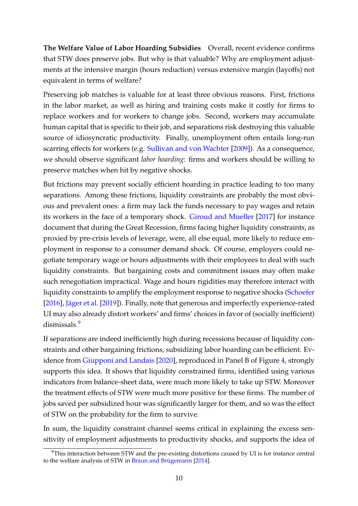**The Welfare Value of Labor Hoarding Subsidies** Overall, recent evidence confirms that STW does preserve jobs. But why is that valuable? Why are employment adjustments at the intensive margin (hours reduction) versus extensive margin (layoffs) not equivalent in terms of welfare?

Preserving job matches is valuable for at least three obvious reasons. First, frictions in the labor market, as well as hiring and training costs make it costly for firms to replace workers and for workers to change jobs. Second, workers may accumulate human capital that is specific to their job, and separations risk destroying this valuable source of idiosyncratic productivity. Finally, unemployment often entails long-run scarring effects for workers (e.g. [Sullivan and von Wachter](#page-18-5) [\[2009\]](#page-18-5)). As a consequence, we should observe significant *labor hoarding*: firms and workers should be willing to preserve matches when hit by negative shocks.

But frictions may prevent socially efficient hoarding in practice leading to too many separations. Among these frictions, liquidity constraints are probably the most obvious and prevalent ones: a firm may lack the funds necessary to pay wages and retain its workers in the face of a temporary shock. [Giroud and Mueller](#page-16-9) [\[2017\]](#page-16-9) for instance document that during the Great Recession, firms facing higher liquidity constraints, as proxied by pre-crisis levels of leverage, were, all else equal, more likely to reduce employment in response to a consumer demand shock. Of course, employers could negotiate temporary wage or hours adjustments with their employees to deal with such liquidity constraints. But bargaining costs and commitment issues may often make such renegotiation impractical. Wage and hours rigidities may therefore interact with liquidity constraints to amplify the employment response to negative shocks [\(Schoefer](#page-18-6) [\[2016\]](#page-18-6), [Jäger et al.](#page-17-1) [\[2019\]](#page-17-1)). Finally, note that generous and imperfectly experience-rated UI may also already distort workers' and firms' choices in favor of (socially inefficient) dismissals.<sup>[9](#page-9-0)</sup>

If separations are indeed inefficiently high during recessions because of liquidity constraints and other bargaining frictions, subsidizing labor hoarding can be efficient. Ev-idence from [Giupponi and Landais](#page-16-4) [\[2020\]](#page-16-4), reproduced in Panel B of Figure [4,](#page-22-0) strongly supports this idea. It shows that liquidity constrained firms, identified using various indicators from balance-sheet data, were much more likely to take up STW. Moreover the treatment effects of STW were much more positive for these firms. The number of jobs saved per subsidized hour was significantly larger for them, and so was the effect of STW on the probability for the firm to survive.

In sum, the liquidity constraint channel seems critical in explaining the excess sensitivity of employment adjustments to productivity shocks, and supports the idea of

<span id="page-9-0"></span><sup>&</sup>lt;sup>9</sup>This interaction between STW and the pre-existing distortions caused by UI is for instance central to the welfare analysis of STW in [Braun and Brügemann](#page-16-10) [\[2014\]](#page-16-10).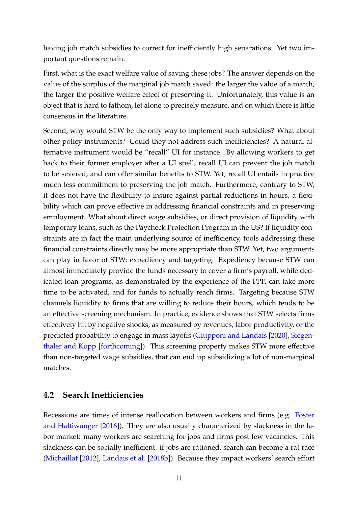having job match subsidies to correct for inefficiently high separations. Yet two important questions remain.

First, what is the exact welfare value of saving these jobs? The answer depends on the value of the surplus of the marginal job match saved: the larger the value of a match, the larger the positive welfare effect of preserving it. Unfortunately, this value is an object that is hard to fathom, let alone to precisely measure, and on which there is little consensus in the literature.

Second, why would STW be the only way to implement such subsidies? What about other policy instruments? Could they not address such inefficiencies? A natural alternative instrument would be "recall" UI for instance. By allowing workers to get back to their former employer after a UI spell, recall UI can prevent the job match to be severed, and can offer similar benefits to STW. Yet, recall UI entails in practice much less commitment to preserving the job match. Furthermore, contrary to STW, it does not have the flexibility to insure against partial reductions in hours, a flexibility which can prove effective in addressing financial constraints and in preserving employment. What about direct wage subsidies, or direct provision of liquidity with temporary loans, such as the Paycheck Protection Program in the US? If liquidity constraints are in fact the main underlying source of inefficiency, tools addressing these financial constraints directly may be more appropriate than STW. Yet, two arguments can play in favor of STW: expediency and targeting. Expediency because STW can almost immediately provide the funds necessary to cover a firm's payroll, while dedicated loan programs, as demonstrated by the experience of the PPP, can take more time to be activated, and for funds to actually reach firms. Targeting because STW channels liquidity to firms that are willing to reduce their hours, which tends to be an effective screening mechanism. In practice, evidence shows that STW selects firms effectively hit by negative shocks, as measured by revenues, labor productivity, or the predicted probability to engage in mass layoffs [\(Giupponi and Landais](#page-16-4) [\[2020\]](#page-16-4), [Siegen](#page-18-3)[thaler and Kopp](#page-18-3) [\[forthcoming\]](#page-18-3)). This screening property makes STW more effective than non-targeted wage subsidies, that can end up subsidizing a lot of non-marginal matches.

### **4.2 Search Inefficiencies**

Recessions are times of intense reallocation between workers and firms (e.g. [Foster](#page-17-6) [and Haltiwanger](#page-17-6) [\[2016\]](#page-17-6)). They are also usually characterized by slackness in the labor market: many workers are searching for jobs and firms post few vacancies. This slackness can be socially inefficient: if jobs are rationed, search can become a rat race [\(Michaillat](#page-18-0) [\[2012\]](#page-18-0), [Landais et al.](#page-17-0) [\[2018b\]](#page-17-0)). Because they impact workers' search effort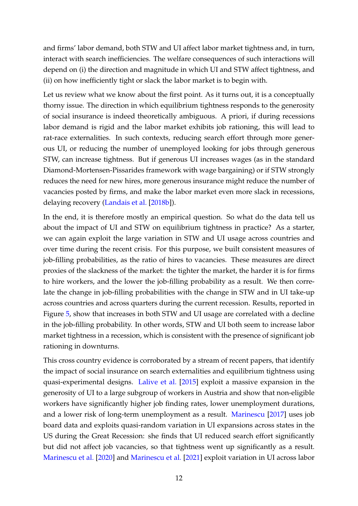and firms' labor demand, both STW and UI affect labor market tightness and, in turn, interact with search inefficiencies. The welfare consequences of such interactions will depend on (i) the direction and magnitude in which UI and STW affect tightness, and (ii) on how inefficiently tight or slack the labor market is to begin with.

Let us review what we know about the first point. As it turns out, it is a conceptually thorny issue. The direction in which equilibrium tightness responds to the generosity of social insurance is indeed theoretically ambiguous. A priori, if during recessions labor demand is rigid and the labor market exhibits job rationing, this will lead to rat-race externalities. In such contexts, reducing search effort through more generous UI, or reducing the number of unemployed looking for jobs through generous STW, can increase tightness. But if generous UI increases wages (as in the standard Diamond-Mortensen-Pissarides framework with wage bargaining) or if STW strongly reduces the need for new hires, more generous insurance might reduce the number of vacancies posted by firms, and make the labor market even more slack in recessions, delaying recovery [\(Landais et al.](#page-17-0) [\[2018b\]](#page-17-0)).

In the end, it is therefore mostly an empirical question. So what do the data tell us about the impact of UI and STW on equilibrium tightness in practice? As a starter, we can again exploit the large variation in STW and UI usage across countries and over time during the recent crisis. For this purpose, we built consistent measures of job-filling probabilities, as the ratio of hires to vacancies. These measures are direct proxies of the slackness of the market: the tighter the market, the harder it is for firms to hire workers, and the lower the job-filling probability as a result. We then correlate the change in job-filling probabilities with the change in STW and in UI take-up across countries and across quarters during the current recession. Results, reported in Figure [5,](#page-23-0) show that increases in both STW and UI usage are correlated with a decline in the job-filling probability. In other words, STW and UI both seem to increase labor market tightness in a recession, which is consistent with the presence of significant job rationing in downturns.

This cross country evidence is corroborated by a stream of recent papers, that identify the impact of social insurance on search externalities and equilibrium tightness using quasi-experimental designs. [Lalive et al.](#page-17-7) [\[2015\]](#page-17-7) exploit a massive expansion in the generosity of UI to a large subgroup of workers in Austria and show that non-eligible workers have significantly higher job finding rates, lower unemployment durations, and a lower risk of long-term unemployment as a result. [Marinescu](#page-17-8) [\[2017\]](#page-17-8) uses job board data and exploits quasi-random variation in UI expansions across states in the US during the Great Recession: she finds that UI reduced search effort significantly but did not affect job vacancies, so that tightness went up significantly as a result. [Marinescu et al.](#page-17-9) [\[2020\]](#page-17-9) and [Marinescu et al.](#page-17-10) [\[2021\]](#page-17-10) exploit variation in UI across labor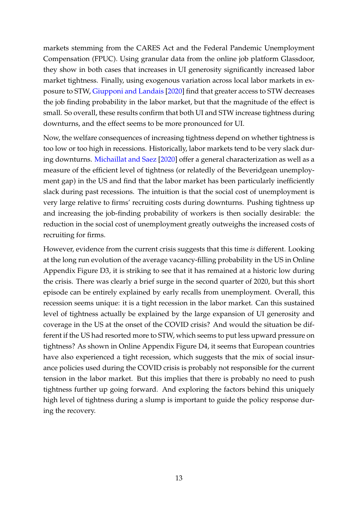markets stemming from the CARES Act and the Federal Pandemic Unemployment Compensation (FPUC). Using granular data from the online job platform Glassdoor, they show in both cases that increases in UI generosity significantly increased labor market tightness. Finally, using exogenous variation across local labor markets in exposure to STW, [Giupponi and Landais](#page-16-4) [\[2020\]](#page-16-4) find that greater access to STW decreases the job finding probability in the labor market, but that the magnitude of the effect is small. So overall, these results confirm that both UI and STW increase tightness during downturns, and the effect seems to be more pronounced for UI.

Now, the welfare consequences of increasing tightness depend on whether tightness is too low or too high in recessions. Historically, labor markets tend to be very slack during downturns. [Michaillat and Saez](#page-18-7) [\[2020\]](#page-18-7) offer a general characterization as well as a measure of the efficient level of tightness (or relatedly of the Beveridgean unemployment gap) in the US and find that the labor market has been particularly inefficiently slack during past recessions. The intuition is that the social cost of unemployment is very large relative to firms' recruiting costs during downturns. Pushing tightness up and increasing the job-finding probability of workers is then socially desirable: the reduction in the social cost of unemployment greatly outweighs the increased costs of recruiting for firms.

However, evidence from the current crisis suggests that this time *is* different. Looking at the long run evolution of the average vacancy-filling probability in the US in Online Appendix Figure D3, it is striking to see that it has remained at a historic low during the crisis. There was clearly a brief surge in the second quarter of 2020, but this short episode can be entirely explained by early recalls from unemployment. Overall, this recession seems unique: it is a tight recession in the labor market. Can this sustained level of tightness actually be explained by the large expansion of UI generosity and coverage in the US at the onset of the COVID crisis? And would the situation be different if the US had resorted more to STW, which seems to put less upward pressure on tightness? As shown in Online Appendix Figure D4, it seems that European countries have also experienced a tight recession, which suggests that the mix of social insurance policies used during the COVID crisis is probably not responsible for the current tension in the labor market. But this implies that there is probably no need to push tightness further up going forward. And exploring the factors behind this uniquely high level of tightness during a slump is important to guide the policy response during the recovery.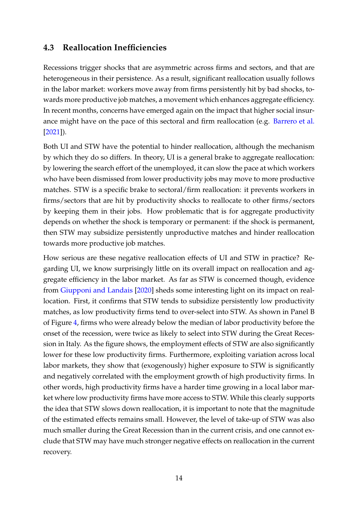### **4.3 Reallocation Inefficiencies**

Recessions trigger shocks that are asymmetric across firms and sectors, and that are heterogeneous in their persistence. As a result, significant reallocation usually follows in the labor market: workers move away from firms persistently hit by bad shocks, towards more productive job matches, a movement which enhances aggregate efficiency. In recent months, concerns have emerged again on the impact that higher social insurance might have on the pace of this sectoral and firm reallocation (e.g. [Barrero et al.](#page-16-11) [\[2021\]](#page-16-11)).

Both UI and STW have the potential to hinder reallocation, although the mechanism by which they do so differs. In theory, UI is a general brake to aggregate reallocation: by lowering the search effort of the unemployed, it can slow the pace at which workers who have been dismissed from lower productivity jobs may move to more productive matches. STW is a specific brake to sectoral/firm reallocation: it prevents workers in firms/sectors that are hit by productivity shocks to reallocate to other firms/sectors by keeping them in their jobs. How problematic that is for aggregate productivity depends on whether the shock is temporary or permanent: if the shock is permanent, then STW may subsidize persistently unproductive matches and hinder reallocation towards more productive job matches.

How serious are these negative reallocation effects of UI and STW in practice? Regarding UI, we know surprisingly little on its overall impact on reallocation and aggregate efficiency in the labor market. As far as STW is concerned though, evidence from [Giupponi and Landais](#page-16-4) [\[2020\]](#page-16-4) sheds some interesting light on its impact on reallocation. First, it confirms that STW tends to subsidize persistently low productivity matches, as low productivity firms tend to over-select into STW. As shown in Panel B of Figure [4,](#page-22-0) firms who were already below the median of labor productivity before the onset of the recession, were twice as likely to select into STW during the Great Recession in Italy. As the figure shows, the employment effects of STW are also significantly lower for these low productivity firms. Furthermore, exploiting variation across local labor markets, they show that (exogenously) higher exposure to STW is significantly and negatively correlated with the employment growth of high productivity firms. In other words, high productivity firms have a harder time growing in a local labor market where low productivity firms have more access to STW. While this clearly supports the idea that STW slows down reallocation, it is important to note that the magnitude of the estimated effects remains small. However, the level of take-up of STW was also much smaller during the Great Recession than in the current crisis, and one cannot exclude that STW may have much stronger negative effects on reallocation in the current recovery.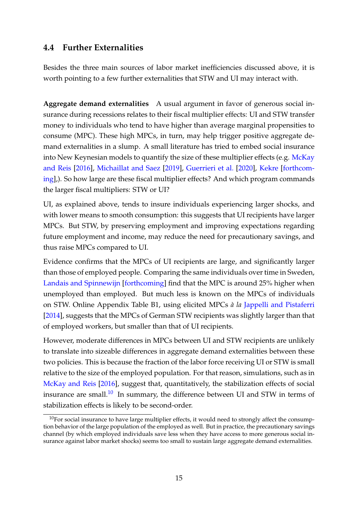### **4.4 Further Externalities**

Besides the three main sources of labor market inefficiencies discussed above, it is worth pointing to a few further externalities that STW and UI may interact with.

**Aggregate demand externalities** A usual argument in favor of generous social insurance during recessions relates to their fiscal multiplier effects: UI and STW transfer money to individuals who tend to have higher than average marginal propensities to consume (MPC). These high MPCs, in turn, may help trigger positive aggregate demand externalities in a slump. A small literature has tried to embed social insurance into New Keynesian models to quantify the size of these multiplier effects (e.g. [McKay](#page-18-8) [and Reis](#page-18-8) [\[2016\]](#page-18-8), [Michaillat and Saez](#page-18-9) [\[2019\]](#page-18-9), [Guerrieri et al.](#page-16-12) [\[2020\]](#page-16-12), [Kekre](#page-17-11) [\[forthcom](#page-17-11)[ing\]](#page-17-11),). So how large are these fiscal multiplier effects? And which program commands the larger fiscal multipliers: STW or UI?

UI, as explained above, tends to insure individuals experiencing larger shocks, and with lower means to smooth consumption: this suggests that UI recipients have larger MPCs. But STW, by preserving employment and improving expectations regarding future employment and income, may reduce the need for precautionary savings, and thus raise MPCs compared to UI.

Evidence confirms that the MPCs of UI recipients are large, and significantly larger than those of employed people. Comparing the same individuals over time in Sweden, [Landais and Spinnewijn](#page-17-4) [\[forthcoming\]](#page-17-4) find that the MPC is around 25% higher when unemployed than employed. But much less is known on the MPCs of individuals on STW. Online Appendix Table B1, using elicited MPCs *à la* [Jappelli and Pistaferri](#page-17-12) [\[2014\]](#page-17-12), suggests that the MPCs of German STW recipients was slightly larger than that of employed workers, but smaller than that of UI recipients.

However, moderate differences in MPCs between UI and STW recipients are unlikely to translate into sizeable differences in aggregate demand externalities between these two policies. This is because the fraction of the labor force receiving UI or STW is small relative to the size of the employed population. For that reason, simulations, such as in [McKay and Reis](#page-18-8) [\[2016\]](#page-18-8), suggest that, quantitatively, the stabilization effects of social insurance are small. $^{10}$  $^{10}$  $^{10}$  In summary, the difference between UI and STW in terms of stabilization effects is likely to be second-order.

<span id="page-14-0"></span> $10$ For social insurance to have large multiplier effects, it would need to strongly affect the consumption behavior of the large population of the employed as well. But in practice, the precautionary savings channel (by which employed individuals save less when they have access to more generous social insurance against labor market shocks) seems too small to sustain large aggregate demand externalities.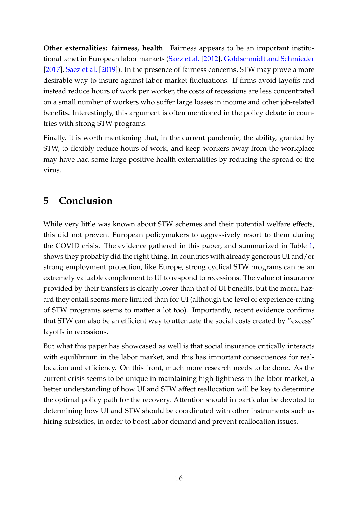**Other externalities: fairness, health** Fairness appears to be an important institutional tenet in European labor markets [\(Saez et al.](#page-18-10) [\[2012\]](#page-18-10), [Goldschmidt and Schmieder](#page-16-13) [\[2017\]](#page-16-13), [Saez et al.](#page-18-11) [\[2019\]](#page-18-11)). In the presence of fairness concerns, STW may prove a more desirable way to insure against labor market fluctuations. If firms avoid layoffs and instead reduce hours of work per worker, the costs of recessions are less concentrated on a small number of workers who suffer large losses in income and other job-related benefits. Interestingly, this argument is often mentioned in the policy debate in countries with strong STW programs.

Finally, it is worth mentioning that, in the current pandemic, the ability, granted by STW, to flexibly reduce hours of work, and keep workers away from the workplace may have had some large positive health externalities by reducing the spread of the virus.

# **5 Conclusion**

While very little was known about STW schemes and their potential welfare effects, this did not prevent European policymakers to aggressively resort to them during the COVID crisis. The evidence gathered in this paper, and summarized in Table [1,](#page-24-0) shows they probably did the right thing. In countries with already generous UI and/or strong employment protection, like Europe, strong cyclical STW programs can be an extremely valuable complement to UI to respond to recessions. The value of insurance provided by their transfers is clearly lower than that of UI benefits, but the moral hazard they entail seems more limited than for UI (although the level of experience-rating of STW programs seems to matter a lot too). Importantly, recent evidence confirms that STW can also be an efficient way to attenuate the social costs created by "excess" layoffs in recessions.

But what this paper has showcased as well is that social insurance critically interacts with equilibrium in the labor market, and this has important consequences for reallocation and efficiency. On this front, much more research needs to be done. As the current crisis seems to be unique in maintaining high tightness in the labor market, a better understanding of how UI and STW affect reallocation will be key to determine the optimal policy path for the recovery. Attention should in particular be devoted to determining how UI and STW should be coordinated with other instruments such as hiring subsidies, in order to boost labor demand and prevent reallocation issues.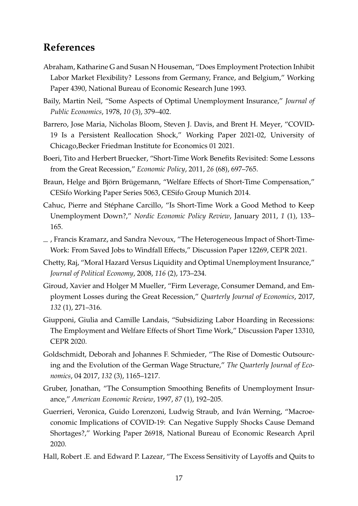### **References**

- <span id="page-16-6"></span>Abraham, Katharine G and Susan N Houseman, "Does Employment Protection Inhibit Labor Market Flexibility? Lessons from Germany, France, and Belgium," Working Paper 4390, National Bureau of Economic Research June 1993.
- <span id="page-16-0"></span>Baily, Martin Neil, "Some Aspects of Optimal Unemployment Insurance," *Journal of Public Economics*, 1978, *10* (3), 379–402.
- <span id="page-16-11"></span>Barrero, Jose Maria, Nicholas Bloom, Steven J. Davis, and Brent H. Meyer, "COVID-19 Is a Persistent Reallocation Shock," Working Paper 2021-02, University of Chicago,Becker Friedman Institute for Economics 01 2021.
- <span id="page-16-7"></span>Boeri, Tito and Herbert Bruecker, "Short-Time Work Benefits Revisited: Some Lessons from the Great Recession," *Economic Policy*, 2011, *26* (68), 697–765.
- <span id="page-16-10"></span>Braun, Helge and Björn Brügemann, "Welfare Effects of Short-Time Compensation," CESifo Working Paper Series 5063, CESifo Group Munich 2014.
- <span id="page-16-5"></span>Cahuc, Pierre and Stéphane Carcillo, "Is Short-Time Work a Good Method to Keep Unemployment Down?," *Nordic Economic Policy Review*, January 2011, *1* (1), 133– 165.
- <span id="page-16-8"></span>, Francis Kramarz, and Sandra Nevoux, "The Heterogeneous Impact of Short-Time-Work: From Saved Jobs to Windfall Effects," Discussion Paper 12269, CEPR 2021.
- <span id="page-16-1"></span>Chetty, Raj, "Moral Hazard Versus Liquidity and Optimal Unemployment Insurance," *Journal of Political Economy*, 2008, *116* (2), 173–234.
- <span id="page-16-9"></span>Giroud, Xavier and Holger M Mueller, "Firm Leverage, Consumer Demand, and Employment Losses during the Great Recession," *Quarterly Journal of Economics*, 2017, *132* (1), 271–316.
- <span id="page-16-4"></span>Giupponi, Giulia and Camille Landais, "Subsidizing Labor Hoarding in Recessions: The Employment and Welfare Effects of Short Time Work," Discussion Paper 13310, CEPR 2020.
- <span id="page-16-13"></span>Goldschmidt, Deborah and Johannes F. Schmieder, "The Rise of Domestic Outsourcing and the Evolution of the German Wage Structure," *The Quarterly Journal of Economics*, 04 2017, *132* (3), 1165–1217.
- <span id="page-16-3"></span>Gruber, Jonathan, "The Consumption Smoothing Benefits of Unemployment Insurance," *American Economic Review*, 1997, *87* (1), 192–205.
- <span id="page-16-12"></span>Guerrieri, Veronica, Guido Lorenzoni, Ludwig Straub, and Iván Werning, "Macroeconomic Implications of COVID-19: Can Negative Supply Shocks Cause Demand Shortages?," Working Paper 26918, National Bureau of Economic Research April 2020.
- <span id="page-16-2"></span>Hall, Robert .E. and Edward P. Lazear, "The Excess Sensitivity of Layoffs and Quits to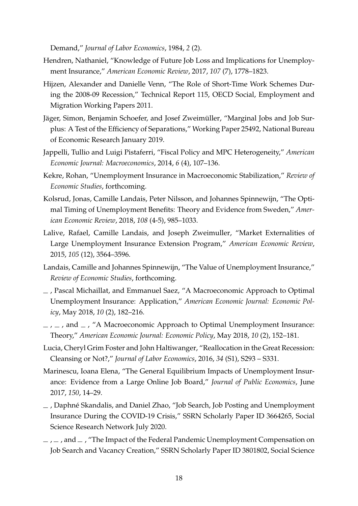Demand," *Journal of Labor Economics*, 1984, *2* (2).

- <span id="page-17-3"></span>Hendren, Nathaniel, "Knowledge of Future Job Loss and Implications for Unemployment Insurance," *American Economic Review*, 2017, *107* (7), 1778–1823.
- <span id="page-17-5"></span>Hijzen, Alexander and Danielle Venn, "The Role of Short-Time Work Schemes During the 2008-09 Recession," Technical Report 115, OECD Social, Employment and Migration Working Papers 2011.
- <span id="page-17-1"></span>Jäger, Simon, Benjamin Schoefer, and Josef Zweimüller, "Marginal Jobs and Job Surplus: A Test of the Efficiency of Separations," Working Paper 25492, National Bureau of Economic Research January 2019.
- <span id="page-17-12"></span>Jappelli, Tullio and Luigi Pistaferri, "Fiscal Policy and MPC Heterogeneity," *American Economic Journal: Macroeconomics*, 2014, *6* (4), 107–136.
- <span id="page-17-11"></span>Kekre, Rohan, "Unemployment Insurance in Macroeconomic Stabilization," *Review of Economic Studies*, forthcoming.
- <span id="page-17-2"></span>Kolsrud, Jonas, Camille Landais, Peter Nilsson, and Johannes Spinnewijn, "The Optimal Timing of Unemployment Benefits: Theory and Evidence from Sweden," *American Economic Review*, 2018, *108* (4-5), 985–1033.
- <span id="page-17-7"></span>Lalive, Rafael, Camille Landais, and Joseph Zweimuller, "Market Externalities of Large Unemployment Insurance Extension Program," *American Economic Review*, 2015, *105* (12), 3564–3596.
- <span id="page-17-4"></span>Landais, Camille and Johannes Spinnewijn, "The Value of Unemployment Insurance," *Review of Economic Studies*, forthcoming.
- <span id="page-17-13"></span>, Pascal Michaillat, and Emmanuel Saez, "A Macroeconomic Approach to Optimal Unemployment Insurance: Application," *American Economic Journal: Economic Policy*, May 2018, *10* (2), 182–216.
- <span id="page-17-0"></span> $\mu$ ,  $\mu$ , and  $\mu$ , "A Macroeconomic Approach to Optimal Unemployment Insurance: Theory," *American Economic Journal: Economic Policy*, May 2018, *10* (2), 152–181.
- <span id="page-17-6"></span>Lucia, Cheryl Grim Foster and John Haltiwanger, "Reallocation in the Great Recession: Cleansing or Not?," *Journal of Labor Economics*, 2016, *34* (S1), S293 – S331.
- <span id="page-17-8"></span>Marinescu, Ioana Elena, "The General Equilibrium Impacts of Unemployment Insurance: Evidence from a Large Online Job Board," *Journal of Public Economics*, June 2017, *150*, 14–29.
- <span id="page-17-9"></span>, Daphné Skandalis, and Daniel Zhao, "Job Search, Job Posting and Unemployment Insurance During the COVID-19 Crisis," SSRN Scholarly Paper ID 3664265, Social Science Research Network July 2020.
- <span id="page-17-10"></span> $\mu$ ,  $\mu$ , and  $\mu$ , "The Impact of the Federal Pandemic Unemployment Compensation on Job Search and Vacancy Creation," SSRN Scholarly Paper ID 3801802, Social Science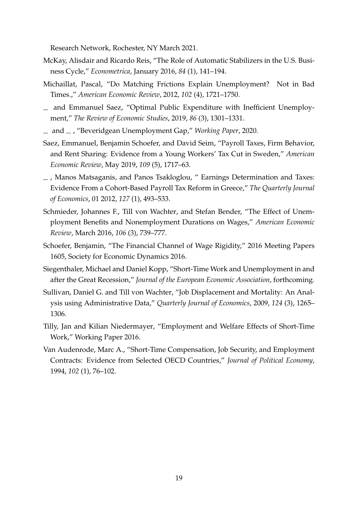Research Network, Rochester, NY March 2021.

- <span id="page-18-8"></span>McKay, Alisdair and Ricardo Reis, "The Role of Automatic Stabilizers in the U.S. Business Cycle," *Econometrica*, January 2016, *84* (1), 141–194.
- <span id="page-18-0"></span>Michaillat, Pascal, "Do Matching Frictions Explain Unemployment? Not in Bad Times.," *American Economic Review*, 2012, *102* (4), 1721–1750.
- <span id="page-18-9"></span>and Emmanuel Saez, "Optimal Public Expenditure with Inefficient Unemployment," *The Review of Economic Studies*, 2019, *86* (3), 1301–1331.
- <span id="page-18-7"></span>and , "Beveridgean Unemployment Gap," *Working Paper*, 2020.
- <span id="page-18-11"></span>Saez, Emmanuel, Benjamin Schoefer, and David Seim, "Payroll Taxes, Firm Behavior, and Rent Sharing: Evidence from a Young Workers' Tax Cut in Sweden," *American Economic Review*, May 2019, *109* (5), 1717–63.
- <span id="page-18-10"></span>, Manos Matsaganis, and Panos Tsakloglou, " Earnings Determination and Taxes: Evidence From a Cohort-Based Payroll Tax Reform in Greece," *The Quarterly Journal of Economics*, 01 2012, *127* (1), 493–533.
- <span id="page-18-2"></span>Schmieder, Johannes F., Till von Wachter, and Stefan Bender, "The Effect of Unemployment Benefits and Nonemployment Durations on Wages," *American Economic Review*, March 2016, *106* (3), 739–777.
- <span id="page-18-6"></span>Schoefer, Benjamin, "The Financial Channel of Wage Rigidity," 2016 Meeting Papers 1605, Society for Economic Dynamics 2016.
- <span id="page-18-3"></span>Siegenthaler, Michael and Daniel Kopp, "Short-Time Work and Unemployment in and after the Great Recession," *Journal of the European Economic Association*, forthcoming.
- <span id="page-18-5"></span>Sullivan, Daniel G. and Till von Wachter, "Job Displacement and Mortality: An Analysis using Administrative Data," *Quarterly Journal of Economics*, 2009, *124* (3), 1265– 1306.
- <span id="page-18-1"></span>Tilly, Jan and Kilian Niedermayer, "Employment and Welfare Effects of Short-Time Work," Working Paper 2016.
- <span id="page-18-4"></span>Van Audenrode, Marc A., "Short-Time Compensation, Job Security, and Employment Contracts: Evidence from Selected OECD Countries," *Journal of Political Economy*, 1994, *102* (1), 76–102.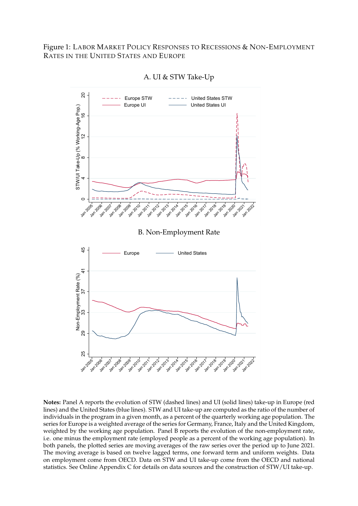<span id="page-19-0"></span>Figure 1: LABOR MARKET POLICY RESPONSES TO RECESSIONS & NON-EMPLOYMENT RATES IN THE UNITED STATES AND EUROPE



A. UI & STW Take-Up

**Notes:** Panel A reports the evolution of STW (dashed lines) and UI (solid lines) take-up in Europe (red lines) and the United States (blue lines). STW and UI take-up are computed as the ratio of the number of individuals in the program in a given month, as a percent of the quarterly working age population. The series for Europe is a weighted average of the series for Germany, France, Italy and the United Kingdom, weighted by the working age population. Panel B reports the evolution of the non-employment rate, i.e. one minus the employment rate (employed people as a percent of the working age population). In both panels, the plotted series are moving averages of the raw series over the period up to June 2021. The moving average is based on twelve lagged terms, one forward term and uniform weights. Data on employment come from OECD. Data on STW and UI take-up come from the OECD and national statistics. See Online Appendix C for details on data sources and the construction of STW/UI take-up.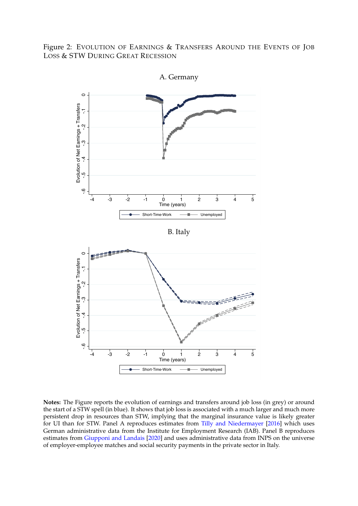<span id="page-20-0"></span>Figure 2: EVOLUTION OF EARNINGS & TRANSFERS AROUND THE EVENTS OF JOB LOSS & STW DURING GREAT RECESSION



A. Germany

**Notes:** The Figure reports the evolution of earnings and transfers around job loss (in grey) or around the start of a STW spell (in blue). It shows that job loss is associated with a much larger and much more persistent drop in resources than STW, implying that the marginal insurance value is likely greater for UI than for STW. Panel A reproduces estimates from [Tilly and Niedermayer](#page-18-1) [\[2016\]](#page-18-1) which uses German administrative data from the Institute for Employment Research (IAB). Panel B reproduces estimates from [Giupponi and Landais](#page-16-4) [\[2020\]](#page-16-4) and uses administrative data from INPS on the universe of employer-employee matches and social security payments in the private sector in Italy.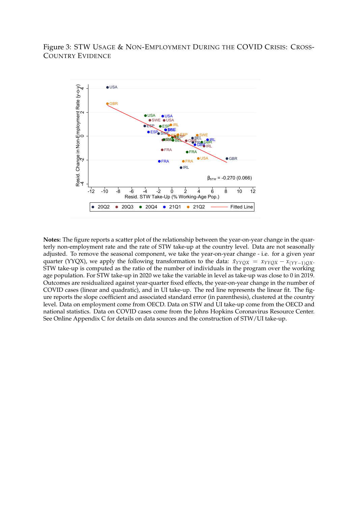<span id="page-21-0"></span>Figure 3: STW USAGE & NON-EMPLOYMENT DURING THE COVID CRISIS: CROSS-COUNTRY EVIDENCE



**Notes:** The figure reports a scatter plot of the relationship between the year-on-year change in the quarterly non-employment rate and the rate of STW take-up at the country level. Data are not seasonally adjusted. To remove the seasonal component, we take the year-on-year change - i.e. for a given year quarter (YYQX), we apply the following transformation to the data:  $\tilde{x}_{YYQX} = x_{YYQX} - x_{(YY-1)QX}$ . STW take-up is computed as the ratio of the number of individuals in the program over the working age population. For STW take-up in 2020 we take the variable in level as take-up was close to 0 in 2019. Outcomes are residualized against year-quarter fixed effects, the year-on-year change in the number of COVID cases (linear and quadratic), and in UI take-up. The red line represents the linear fit. The figure reports the slope coefficient and associated standard error (in parenthesis), clustered at the country level. Data on employment come from OECD. Data on STW and UI take-up come from the OECD and national statistics. Data on COVID cases come from the Johns Hopkins Coronavirus Resource Center. See Online Appendix C for details on data sources and the construction of STW/UI take-up.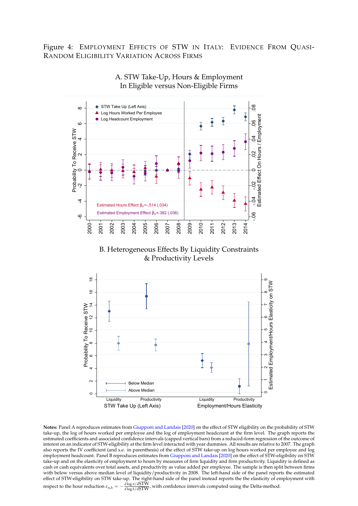<span id="page-22-0"></span>Figure 4: EMPLOYMENT EFFECTS OF STW IN ITALY: EVIDENCE FROM QUASI-RANDOM ELIGIBILITY VARIATION ACROSS FIRMS



A. STW Take-Up, Hours & Employment In Eligible versus Non-Eligible Firms

B. Heterogeneous Effects By Liquidity Constraints & Productivity Levels



**Notes:** Panel A reproduces estimates from [Giupponi and Landais](#page-16-4) [\[2020\]](#page-16-4) on the effect of STW eligibility on the probability of STW take-up, the log of hours worked per employee and the log of employment headcount at the firm level. The graph reports the estimated coefficients and associated confidence intervals (capped vertical bars) from a reduced-form regression of the outcome of interest on an indicator of STW-eligibility at the firm level interacted with year dummies. All results are relative to 2007. The graph also reports the IV coefficient (and s.e. in parenthesis) of the effect of STW take-up on log hours worked per employee and log employment headcount. Panel B reproduces estimates from [Giupponi and Landais](#page-16-4) [\[2020\]](#page-16-4) on the effect of STW-eligibility on STW take-up and on the elasticity of employment to hours by measures of firm liquidity and firm productivity. Liquidity is defined as cash or cash equivalents over total assets, and productivity as value added per employee. The sample is then split between firms with below versus above median level of liquidity/productivity in 2008. The left-hand side of the panel reports the estimated effect of STW-eligibility on STW take-up. The right-hand side of the panel instead reports the the elasticity of employment with

*respect to the hour reduction*  $\varepsilon_{n,h} = -\frac{d \log n/dSTW}{d \log h/dSTW}$ , with confidence intervals computed using the Delta-method.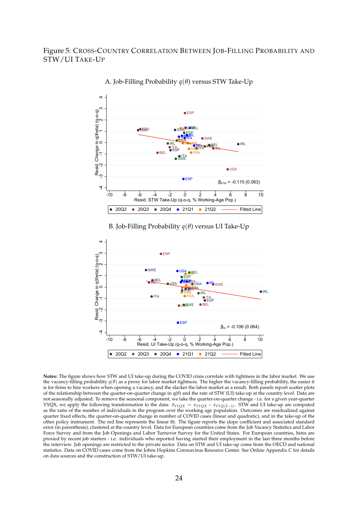#### <span id="page-23-0"></span>Figure 5: CROSS-COUNTRY CORRELATION BETWEEN JOB-FILLING PROBABILITY AND STW/UI TAKE-UP



A. Job-Filling Probability *q*(*θ*) versus STW Take-Up

B. Job-Filling Probability *q*(*θ*) versus UI Take-Up



**Notes:** The figure shows how STW and UI take-up during the COVID crisis correlate with tightness in the labor market. We use the vacancy-filling probability *q*(*θ*) as a proxy for labor market tightness. The higher the vacancy-filling probability, the easier it is for firms to hire workers when opening a vacancy, and the slacker the labor market as a result. Both panels report scatter plots of the relationship between the quarter-on-quarter change in q(*θ*) and the rate of STW (UI) take-up at the country level. Data are not seasonally adjusted. To remove the seasonal component, we take the quarter-on-quarter change - i.e. for a given year-quarter YYQX, we apply the following transformation to the data: *x*˜*YYQX* = *xYYQX* − *xYYQ*(*X*−1) . STW and UI take-up are computed as the ratio of the number of individuals in the program over the working age population. Outcomes are residualized against quarter fixed effects, the quarter-on-quarter change in number of COVID cases (linear and quadratic), and in the take-up of the other policy instrument. The red line represents the linear fit. The figure reports the slope coefficient and associated standard error (in parenthesis), clustered at the country level. Data for European countries come from the Job Vacancy Statistics and Labor Force Survey and from the Job Openings and Labor Turnover Survey for the United States. For European countries, hires are proxied by recent job starters - i.e. individuals who reported having started their employment in the last three months before the interview. Job openings are restricted to the private sector. Data on STW and UI take-up come from the OECD and national statistics. Data on COVID cases come from the Johns Hopkins Coronavirus Resource Center. See Online Appendix C for details on data sources and the construction of STW/UI take-up.